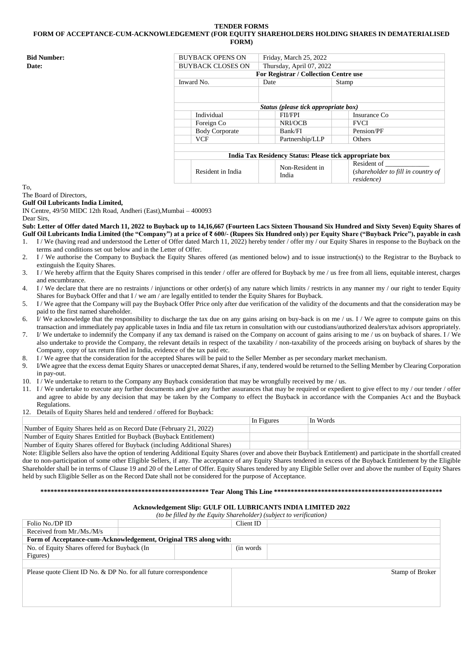# **TENDER FORMS FORM OF ACCEPTANCE-CUM-ACKNOWLEDGEMENT (FOR EQUITY SHAREHOLDERS HOLDING SHARES IN DEMATERIALISED FORM)**

| <b>Bid Number:</b> | <b>BUYBACK OPENS ON</b>  | Friday, March 25, 2022                                  |                                                                 |  |  |
|--------------------|--------------------------|---------------------------------------------------------|-----------------------------------------------------------------|--|--|
| <b>Date:</b>       | <b>BUYBACK CLOSES ON</b> | Thursday, April 07, 2022                                |                                                                 |  |  |
|                    |                          | <b>For Registrar / Collection Centre use</b>            |                                                                 |  |  |
|                    | Inward No.               | Date                                                    | Stamp                                                           |  |  |
|                    |                          |                                                         |                                                                 |  |  |
|                    |                          |                                                         |                                                                 |  |  |
|                    |                          | Status (please tick appropriate box)                    |                                                                 |  |  |
|                    | Individual               | <b>FII/FPI</b>                                          | Insurance Co                                                    |  |  |
|                    | Foreign Co               | NRI/OCB                                                 | <b>FVCI</b>                                                     |  |  |
|                    | <b>Body Corporate</b>    | Bank/FI                                                 | Pension/PF                                                      |  |  |
|                    | <b>VCF</b>               | Partnership/LLP                                         | Others                                                          |  |  |
|                    |                          |                                                         |                                                                 |  |  |
|                    |                          | India Tax Residency Status: Please tick appropriate box |                                                                 |  |  |
|                    | Resident in India        | Non-Resident in<br>India                                | Resident of<br>(shareholder to fill in country of<br>residence) |  |  |

To,

The Board of Directors,

**Gulf Oil Lubricants India Limited,**

IN Centre, 49/50 MIDC 12th Road, Andheri (East),Mumbai – 400093 Dear Sirs,

**Sub: Letter of Offer dated March 11, 2022 to Buyback up to 14,16,667 (Fourteen Lacs Sixteen Thousand Six Hundred and Sixty Seven) Equity Shares of Gulf Oil Lubricants India Limited (the "Company") at a price of ₹ 600/- (Rupees Six Hundred only) per Equity Share ("Buyback Price"), payable in cash**

- 1. I / We (having read and understood the Letter of Offer dated March 11, 2022) hereby tender / offer my / our Equity Shares in response to the Buyback on the terms and conditions set out below and in the Letter of Offer.
- 2. I / We authorise the Company to Buyback the Equity Shares offered (as mentioned below) and to issue instruction(s) to the Registrar to the Buyback to extinguish the Equity Shares.
- 3. I / We hereby affirm that the Equity Shares comprised in this tender / offer are offered for Buyback by me / us free from all liens, equitable interest, charges and encumbrance.
- 4. I / We declare that there are no restraints / injunctions or other order(s) of any nature which limits / restricts in any manner my / our right to tender Equity Shares for Buyback Offer and that  $I /$  we am  $\overline{/}$  are legally entitled to tender the Equity Shares for Buyback.
- 5. I / We agree that the Company will pay the Buyback Offer Price only after due verification of the validity of the documents and that the consideration may be paid to the first named shareholder.
- 6. If we acknowledge that the responsibility to discharge the tax due on any gains arising on buy-back is on me / us. I / We agree to compute gains on this transaction and immediately pay applicable taxes in India and file tax return in consultation with our custodians/authorized dealers/tax advisors appropriately.
- 7. I/ We undertake to indemnify the Company if any tax demand is raised on the Company on account of gains arising to me / us on buyback of shares. I / We also undertake to provide the Company, the relevant details in respect of the taxability / non-taxability of the proceeds arising on buyback of shares by the Company, copy of tax return filed in India, evidence of the tax paid etc.
- 8. I / We agree that the consideration for the accepted Shares will be paid to the Seller Member as per secondary market mechanism.
- 9. I/We agree that the excess demat Equity Shares or unaccepted demat Shares, if any, tendered would be returned to the Selling Member by Clearing Corporation in pay-out.
- 10. I / We undertake to return to the Company any Buyback consideration that may be wrongfully received by me / us.
- 11. I / We undertake to execute any further documents and give any further assurances that may be required or expedient to give effect to my / our tender / offer and agree to abide by any decision that may be taken by the Company to effect the Buyback in accordance with the Companies Act and the Buyback Regulations.
- 12. Details of Equity Shares held and tendered / offered for Buyback:

|                                                                           | In Figures | In Words |
|---------------------------------------------------------------------------|------------|----------|
| Number of Equity Shares held as on Record Date (February 21, 2022)        |            |          |
| Number of Equity Shares Entitled for Buyback (Buyback Entitlement)        |            |          |
| Number of Equity Shares offered for Buyback (including Additional Shares) |            |          |

Note: Eligible Sellers also have the option of tendering Additional Equity Shares (over and above their Buyback Entitlement) and participate in the shortfall created due to non-participation of some other Eligible Sellers, if any. The acceptance of any Equity Shares tendered in excess of the Buyback Entitlement by the Eligible Shareholder shall be in terms of Clause 19 and 20 of the Letter of Offer. Equity Shares tendered by any Eligible Seller over and above the number of Equity Shares held by such Eligible Seller as on the Record Date shall not be considered for the purpose of Acceptance.

# **\*\*\*\*\*\*\*\*\*\*\*\*\*\*\*\*\*\*\*\*\*\*\*\*\*\*\*\*\*\*\*\*\*\*\*\*\*\*\*\*\*\*\*\*\*\*\*\*\*\* Tear Along This Line \*\*\*\*\*\*\*\*\*\*\*\*\*\*\*\*\*\*\*\*\*\*\*\*\*\*\*\*\*\*\*\*\*\*\*\*\*\*\*\*\*\*\*\*\*\*\*\*\*\***

## **Acknowledgement Slip: GULF OIL LUBRICANTS INDIA LIMITED 2022**

| (to be filled by the Equity Shareholder) (subject to verification) |  |            |                 |
|--------------------------------------------------------------------|--|------------|-----------------|
| Folio No./DP ID                                                    |  | Client ID  |                 |
| Received from Mr./Ms./M/s                                          |  |            |                 |
| Form of Acceptance-cum-Acknowledgement, Original TRS along with:   |  |            |                 |
| No. of Equity Shares offered for Buyback (In                       |  | (in words) |                 |
| Figures)                                                           |  |            |                 |
|                                                                    |  |            |                 |
| Please quote Client ID No. & DP No. for all future correspondence  |  |            | Stamp of Broker |
|                                                                    |  |            |                 |
|                                                                    |  |            |                 |
|                                                                    |  |            |                 |
|                                                                    |  |            |                 |